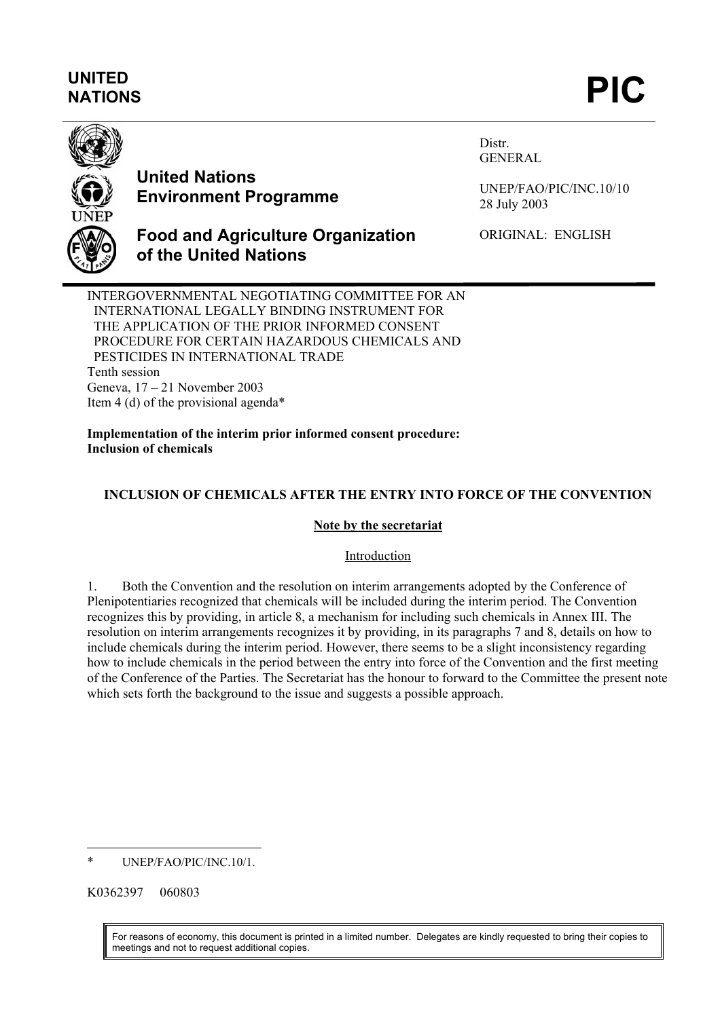# **UNITED**  UNITED<br>NATIONS **PIC**



# **United Nations Environment Programme**

Distr. GENERAL

UNEP/FAO/PIC/INC.10/10 28 July 2003

# **Food and Agriculture Organization of the United Nations**

ORIGINAL: ENGLISH

INTERGOVERNMENTAL NEGOTIATING COMMITTEE FOR AN INTERNATIONAL LEGALLY BINDING INSTRUMENT FOR THE APPLICATION OF THE PRIOR INFORMED CONSENT PROCEDURE FOR CERTAIN HAZARDOUS CHEMICALS AND PESTICIDES IN INTERNATIONAL TRADE Tenth session Geneva, 17 – 21 November 2003 Item 4 (d) of the provisional agenda\*

**Implementation of the interim prior informed consent procedure: Inclusion of chemicals** 

## **INCLUSION OF CHEMICALS AFTER THE ENTRY INTO FORCE OF THE CONVENTION**

#### **Note by the secretariat**

#### Introduction

1. Both the Convention and the resolution on interim arrangements adopted by the Conference of Plenipotentiaries recognized that chemicals will be included during the interim period. The Convention recognizes this by providing, in article 8, a mechanism for including such chemicals in Annex III. The resolution on interim arrangements recognizes it by providing, in its paragraphs 7 and 8, details on how to include chemicals during the interim period. However, there seems to be a slight inconsistency regarding how to include chemicals in the period between the entry into force of the Convention and the first meeting of the Conference of the Parties. The Secretariat has the honour to forward to the Committee the present note which sets forth the background to the issue and suggests a possible approach.

l UNEP/FAO/PIC/INC.10/1.

K0362397 060803

For reasons of economy, this document is printed in a limited number. Delegates are kindly requested to bring their copies to meetings and not to request additional copies.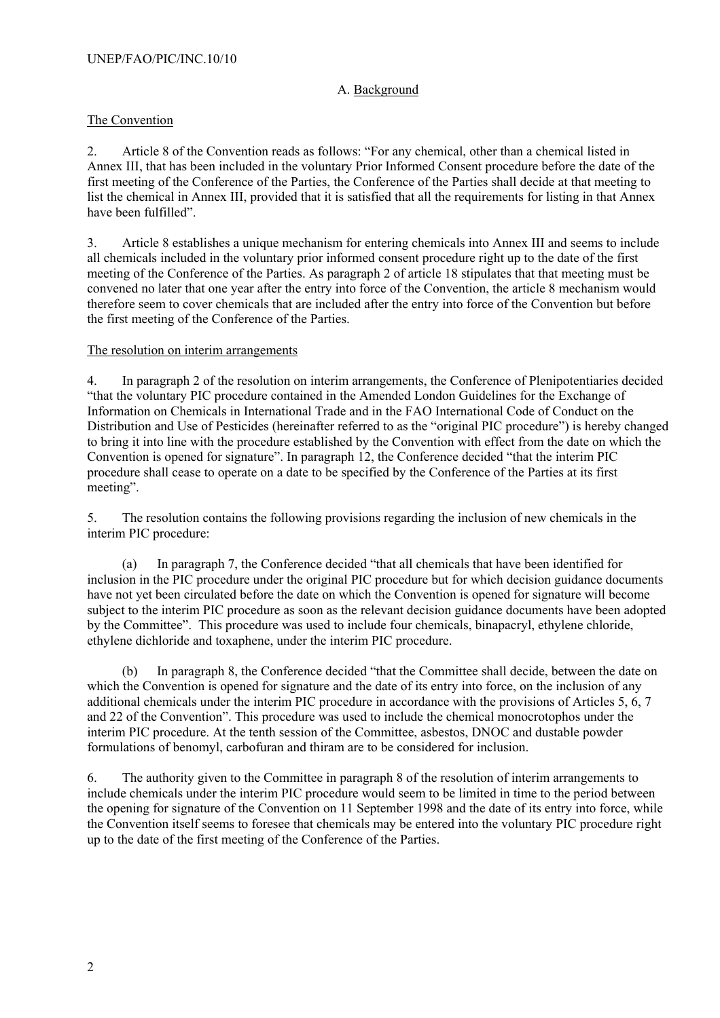### A. Background

### The Convention

2. Article 8 of the Convention reads as follows: "For any chemical, other than a chemical listed in Annex III, that has been included in the voluntary Prior Informed Consent procedure before the date of the first meeting of the Conference of the Parties, the Conference of the Parties shall decide at that meeting to list the chemical in Annex III, provided that it is satisfied that all the requirements for listing in that Annex have been fulfilled".

3. Article 8 establishes a unique mechanism for entering chemicals into Annex III and seems to include all chemicals included in the voluntary prior informed consent procedure right up to the date of the first meeting of the Conference of the Parties. As paragraph 2 of article 18 stipulates that that meeting must be convened no later that one year after the entry into force of the Convention, the article 8 mechanism would therefore seem to cover chemicals that are included after the entry into force of the Convention but before the first meeting of the Conference of the Parties.

#### The resolution on interim arrangements

4. In paragraph 2 of the resolution on interim arrangements, the Conference of Plenipotentiaries decided "that the voluntary PIC procedure contained in the Amended London Guidelines for the Exchange of Information on Chemicals in International Trade and in the FAO International Code of Conduct on the Distribution and Use of Pesticides (hereinafter referred to as the "original PIC procedure") is hereby changed to bring it into line with the procedure established by the Convention with effect from the date on which the Convention is opened for signature". In paragraph 12, the Conference decided "that the interim PIC procedure shall cease to operate on a date to be specified by the Conference of the Parties at its first meeting".

5. The resolution contains the following provisions regarding the inclusion of new chemicals in the interim PIC procedure:

(a) In paragraph 7, the Conference decided "that all chemicals that have been identified for inclusion in the PIC procedure under the original PIC procedure but for which decision guidance documents have not yet been circulated before the date on which the Convention is opened for signature will become subject to the interim PIC procedure as soon as the relevant decision guidance documents have been adopted by the Committee". This procedure was used to include four chemicals, binapacryl, ethylene chloride, ethylene dichloride and toxaphene, under the interim PIC procedure.

(b) In paragraph 8, the Conference decided "that the Committee shall decide, between the date on which the Convention is opened for signature and the date of its entry into force, on the inclusion of any additional chemicals under the interim PIC procedure in accordance with the provisions of Articles 5, 6, 7 and 22 of the Convention". This procedure was used to include the chemical monocrotophos under the interim PIC procedure. At the tenth session of the Committee, asbestos, DNOC and dustable powder formulations of benomyl, carbofuran and thiram are to be considered for inclusion.

6. The authority given to the Committee in paragraph 8 of the resolution of interim arrangements to include chemicals under the interim PIC procedure would seem to be limited in time to the period between the opening for signature of the Convention on 11 September 1998 and the date of its entry into force, while the Convention itself seems to foresee that chemicals may be entered into the voluntary PIC procedure right up to the date of the first meeting of the Conference of the Parties.